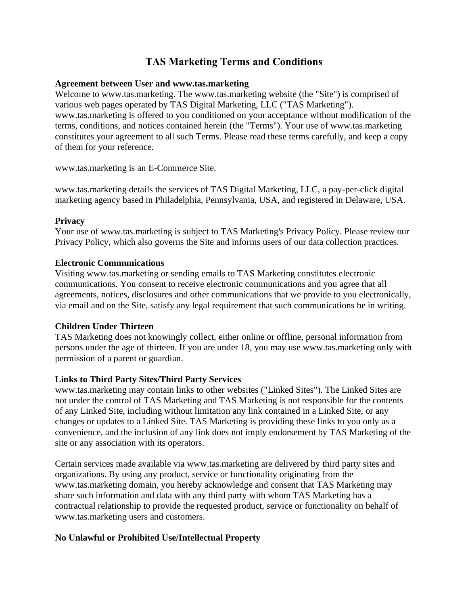# **TAS Marketing Terms and Conditions**

### **Agreement between User and www.tas.marketing**

Welcome to www.tas.marketing. The www.tas.marketing website (the "Site") is comprised of various web pages operated by TAS Digital Marketing, LLC ("TAS Marketing"). www.tas.marketing is offered to you conditioned on your acceptance without modification of the terms, conditions, and notices contained herein (the "Terms"). Your use of www.tas.marketing constitutes your agreement to all such Terms. Please read these terms carefully, and keep a copy of them for your reference.

www.tas.marketing is an E-Commerce Site.

www.tas.marketing details the services of TAS Digital Marketing, LLC, a pay-per-click digital marketing agency based in Philadelphia, Pennsylvania, USA, and registered in Delaware, USA.

### **Privacy**

Your use of www.tas.marketing is subject to TAS Marketing's Privacy Policy. Please review our Privacy Policy, which also governs the Site and informs users of our data collection practices.

### **Electronic Communications**

Visiting www.tas.marketing or sending emails to TAS Marketing constitutes electronic communications. You consent to receive electronic communications and you agree that all agreements, notices, disclosures and other communications that we provide to you electronically, via email and on the Site, satisfy any legal requirement that such communications be in writing.

# **Children Under Thirteen**

TAS Marketing does not knowingly collect, either online or offline, personal information from persons under the age of thirteen. If you are under 18, you may use www.tas.marketing only with permission of a parent or guardian.

### **Links to Third Party Sites/Third Party Services**

www.tas.marketing may contain links to other websites ("Linked Sites"). The Linked Sites are not under the control of TAS Marketing and TAS Marketing is not responsible for the contents of any Linked Site, including without limitation any link contained in a Linked Site, or any changes or updates to a Linked Site. TAS Marketing is providing these links to you only as a convenience, and the inclusion of any link does not imply endorsement by TAS Marketing of the site or any association with its operators.

Certain services made available via www.tas.marketing are delivered by third party sites and organizations. By using any product, service or functionality originating from the www.tas.marketing domain, you hereby acknowledge and consent that TAS Marketing may share such information and data with any third party with whom TAS Marketing has a contractual relationship to provide the requested product, service or functionality on behalf of www.tas.marketing users and customers.

# **No Unlawful or Prohibited Use/Intellectual Property**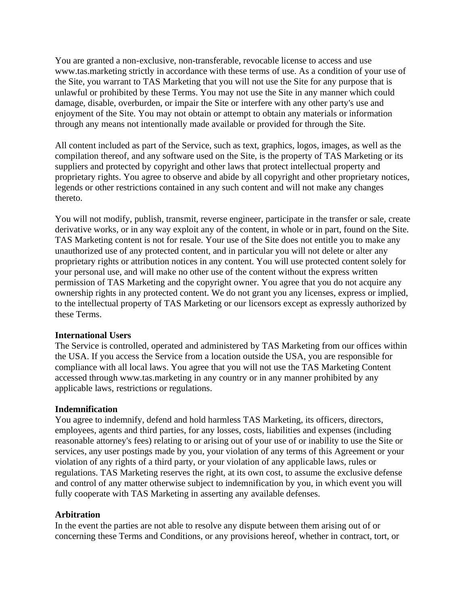You are granted a non-exclusive, non-transferable, revocable license to access and use www.tas.marketing strictly in accordance with these terms of use. As a condition of your use of the Site, you warrant to TAS Marketing that you will not use the Site for any purpose that is unlawful or prohibited by these Terms. You may not use the Site in any manner which could damage, disable, overburden, or impair the Site or interfere with any other party's use and enjoyment of the Site. You may not obtain or attempt to obtain any materials or information through any means not intentionally made available or provided for through the Site.

All content included as part of the Service, such as text, graphics, logos, images, as well as the compilation thereof, and any software used on the Site, is the property of TAS Marketing or its suppliers and protected by copyright and other laws that protect intellectual property and proprietary rights. You agree to observe and abide by all copyright and other proprietary notices, legends or other restrictions contained in any such content and will not make any changes thereto.

You will not modify, publish, transmit, reverse engineer, participate in the transfer or sale, create derivative works, or in any way exploit any of the content, in whole or in part, found on the Site. TAS Marketing content is not for resale. Your use of the Site does not entitle you to make any unauthorized use of any protected content, and in particular you will not delete or alter any proprietary rights or attribution notices in any content. You will use protected content solely for your personal use, and will make no other use of the content without the express written permission of TAS Marketing and the copyright owner. You agree that you do not acquire any ownership rights in any protected content. We do not grant you any licenses, express or implied, to the intellectual property of TAS Marketing or our licensors except as expressly authorized by these Terms.

#### **International Users**

The Service is controlled, operated and administered by TAS Marketing from our offices within the USA. If you access the Service from a location outside the USA, you are responsible for compliance with all local laws. You agree that you will not use the TAS Marketing Content accessed through www.tas.marketing in any country or in any manner prohibited by any applicable laws, restrictions or regulations.

#### **Indemnification**

You agree to indemnify, defend and hold harmless TAS Marketing, its officers, directors, employees, agents and third parties, for any losses, costs, liabilities and expenses (including reasonable attorney's fees) relating to or arising out of your use of or inability to use the Site or services, any user postings made by you, your violation of any terms of this Agreement or your violation of any rights of a third party, or your violation of any applicable laws, rules or regulations. TAS Marketing reserves the right, at its own cost, to assume the exclusive defense and control of any matter otherwise subject to indemnification by you, in which event you will fully cooperate with TAS Marketing in asserting any available defenses.

#### **Arbitration**

In the event the parties are not able to resolve any dispute between them arising out of or concerning these Terms and Conditions, or any provisions hereof, whether in contract, tort, or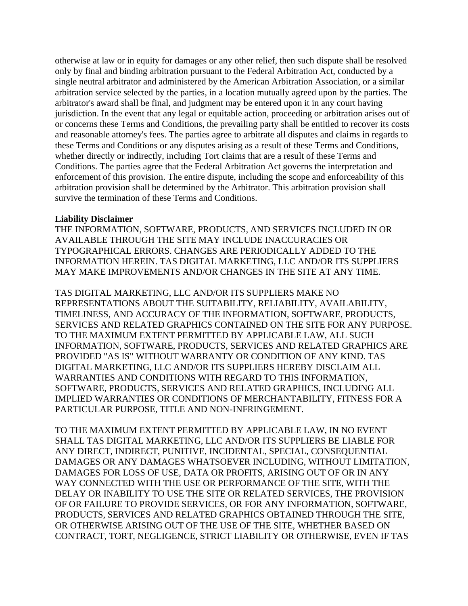otherwise at law or in equity for damages or any other relief, then such dispute shall be resolved only by final and binding arbitration pursuant to the Federal Arbitration Act, conducted by a single neutral arbitrator and administered by the American Arbitration Association, or a similar arbitration service selected by the parties, in a location mutually agreed upon by the parties. The arbitrator's award shall be final, and judgment may be entered upon it in any court having jurisdiction. In the event that any legal or equitable action, proceeding or arbitration arises out of or concerns these Terms and Conditions, the prevailing party shall be entitled to recover its costs and reasonable attorney's fees. The parties agree to arbitrate all disputes and claims in regards to these Terms and Conditions or any disputes arising as a result of these Terms and Conditions, whether directly or indirectly, including Tort claims that are a result of these Terms and Conditions. The parties agree that the Federal Arbitration Act governs the interpretation and enforcement of this provision. The entire dispute, including the scope and enforceability of this arbitration provision shall be determined by the Arbitrator. This arbitration provision shall survive the termination of these Terms and Conditions.

#### **Liability Disclaimer**

THE INFORMATION, SOFTWARE, PRODUCTS, AND SERVICES INCLUDED IN OR AVAILABLE THROUGH THE SITE MAY INCLUDE INACCURACIES OR TYPOGRAPHICAL ERRORS. CHANGES ARE PERIODICALLY ADDED TO THE INFORMATION HEREIN. TAS DIGITAL MARKETING, LLC AND/OR ITS SUPPLIERS MAY MAKE IMPROVEMENTS AND/OR CHANGES IN THE SITE AT ANY TIME.

TAS DIGITAL MARKETING, LLC AND/OR ITS SUPPLIERS MAKE NO REPRESENTATIONS ABOUT THE SUITABILITY, RELIABILITY, AVAILABILITY, TIMELINESS, AND ACCURACY OF THE INFORMATION, SOFTWARE, PRODUCTS, SERVICES AND RELATED GRAPHICS CONTAINED ON THE SITE FOR ANY PURPOSE. TO THE MAXIMUM EXTENT PERMITTED BY APPLICABLE LAW, ALL SUCH INFORMATION, SOFTWARE, PRODUCTS, SERVICES AND RELATED GRAPHICS ARE PROVIDED "AS IS" WITHOUT WARRANTY OR CONDITION OF ANY KIND. TAS DIGITAL MARKETING, LLC AND/OR ITS SUPPLIERS HEREBY DISCLAIM ALL WARRANTIES AND CONDITIONS WITH REGARD TO THIS INFORMATION, SOFTWARE, PRODUCTS, SERVICES AND RELATED GRAPHICS, INCLUDING ALL IMPLIED WARRANTIES OR CONDITIONS OF MERCHANTABILITY, FITNESS FOR A PARTICULAR PURPOSE, TITLE AND NON-INFRINGEMENT.

TO THE MAXIMUM EXTENT PERMITTED BY APPLICABLE LAW, IN NO EVENT SHALL TAS DIGITAL MARKETING, LLC AND/OR ITS SUPPLIERS BE LIABLE FOR ANY DIRECT, INDIRECT, PUNITIVE, INCIDENTAL, SPECIAL, CONSEQUENTIAL DAMAGES OR ANY DAMAGES WHATSOEVER INCLUDING, WITHOUT LIMITATION, DAMAGES FOR LOSS OF USE, DATA OR PROFITS, ARISING OUT OF OR IN ANY WAY CONNECTED WITH THE USE OR PERFORMANCE OF THE SITE, WITH THE DELAY OR INABILITY TO USE THE SITE OR RELATED SERVICES, THE PROVISION OF OR FAILURE TO PROVIDE SERVICES, OR FOR ANY INFORMATION, SOFTWARE, PRODUCTS, SERVICES AND RELATED GRAPHICS OBTAINED THROUGH THE SITE, OR OTHERWISE ARISING OUT OF THE USE OF THE SITE, WHETHER BASED ON CONTRACT, TORT, NEGLIGENCE, STRICT LIABILITY OR OTHERWISE, EVEN IF TAS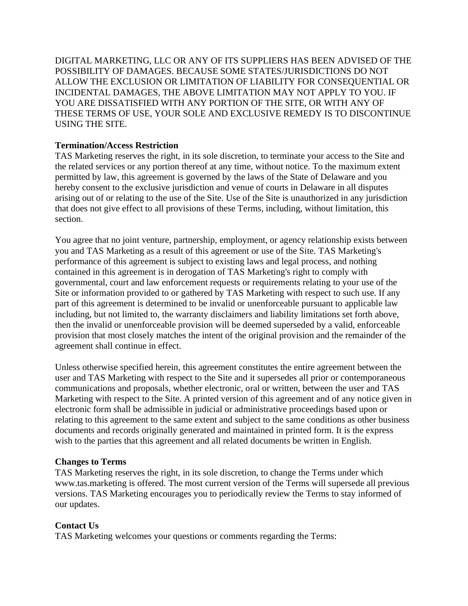DIGITAL MARKETING, LLC OR ANY OF ITS SUPPLIERS HAS BEEN ADVISED OF THE POSSIBILITY OF DAMAGES. BECAUSE SOME STATES/JURISDICTIONS DO NOT ALLOW THE EXCLUSION OR LIMITATION OF LIABILITY FOR CONSEQUENTIAL OR INCIDENTAL DAMAGES, THE ABOVE LIMITATION MAY NOT APPLY TO YOU. IF YOU ARE DISSATISFIED WITH ANY PORTION OF THE SITE, OR WITH ANY OF THESE TERMS OF USE, YOUR SOLE AND EXCLUSIVE REMEDY IS TO DISCONTINUE USING THE SITE.

### **Termination/Access Restriction**

TAS Marketing reserves the right, in its sole discretion, to terminate your access to the Site and the related services or any portion thereof at any time, without notice. To the maximum extent permitted by law, this agreement is governed by the laws of the State of Delaware and you hereby consent to the exclusive jurisdiction and venue of courts in Delaware in all disputes arising out of or relating to the use of the Site. Use of the Site is unauthorized in any jurisdiction that does not give effect to all provisions of these Terms, including, without limitation, this section.

You agree that no joint venture, partnership, employment, or agency relationship exists between you and TAS Marketing as a result of this agreement or use of the Site. TAS Marketing's performance of this agreement is subject to existing laws and legal process, and nothing contained in this agreement is in derogation of TAS Marketing's right to comply with governmental, court and law enforcement requests or requirements relating to your use of the Site or information provided to or gathered by TAS Marketing with respect to such use. If any part of this agreement is determined to be invalid or unenforceable pursuant to applicable law including, but not limited to, the warranty disclaimers and liability limitations set forth above, then the invalid or unenforceable provision will be deemed superseded by a valid, enforceable provision that most closely matches the intent of the original provision and the remainder of the agreement shall continue in effect.

Unless otherwise specified herein, this agreement constitutes the entire agreement between the user and TAS Marketing with respect to the Site and it supersedes all prior or contemporaneous communications and proposals, whether electronic, oral or written, between the user and TAS Marketing with respect to the Site. A printed version of this agreement and of any notice given in electronic form shall be admissible in judicial or administrative proceedings based upon or relating to this agreement to the same extent and subject to the same conditions as other business documents and records originally generated and maintained in printed form. It is the express wish to the parties that this agreement and all related documents be written in English.

### **Changes to Terms**

TAS Marketing reserves the right, in its sole discretion, to change the Terms under which www.tas.marketing is offered. The most current version of the Terms will supersede all previous versions. TAS Marketing encourages you to periodically review the Terms to stay informed of our updates.

# **Contact Us**

TAS Marketing welcomes your questions or comments regarding the Terms: